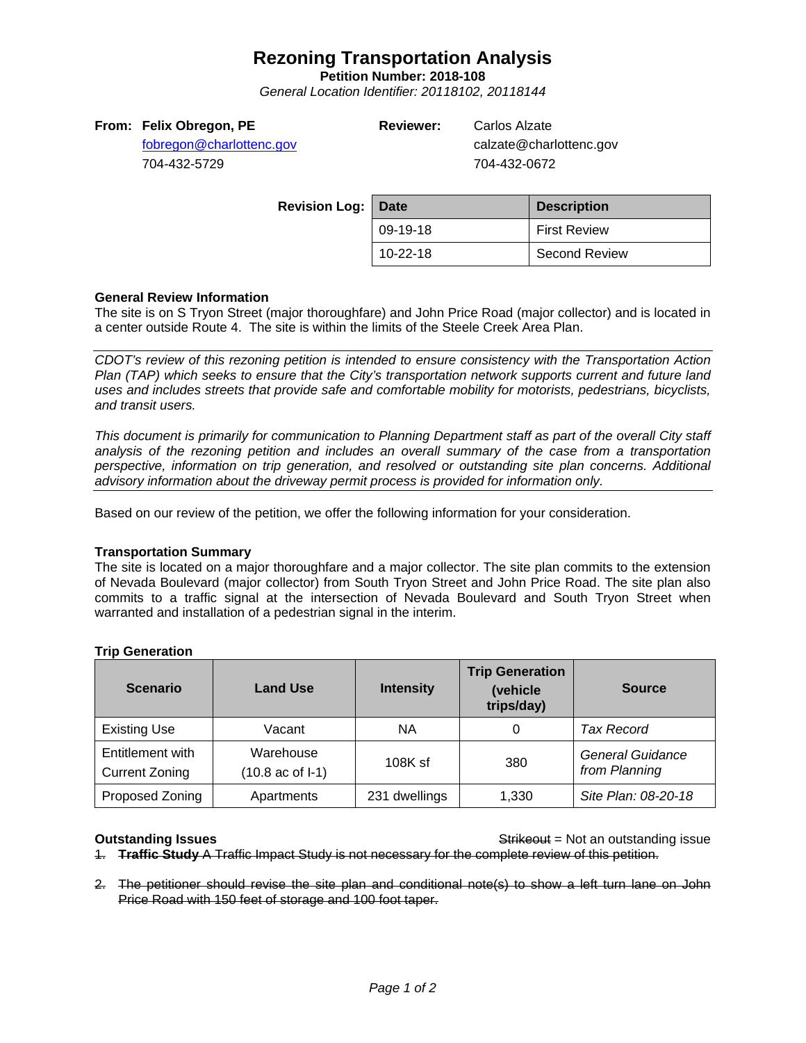# **Rezoning Transportation Analysis**

**Petition Number: 2018-108**

*General Location Identifier: 20118102, 20118144*

## **From: Felix Obregon, PE**

[fobregon@charlottenc.gov](mailto:fobregon@charlottenc.gov) 704-432-5729

**Reviewer:** Carlos Alzate

calzate@charlottenc.gov 704-432-0672

| <b>Revision Log: Date</b> |          | <b>Description</b>   |
|---------------------------|----------|----------------------|
|                           | 09-19-18 | <b>First Review</b>  |
|                           | 10-22-18 | <b>Second Review</b> |

# **General Review Information**

The site is on S Tryon Street (major thoroughfare) and John Price Road (major collector) and is located in a center outside Route 4. The site is within the limits of the Steele Creek Area Plan.

*CDOT's review of this rezoning petition is intended to ensure consistency with the Transportation Action Plan (TAP) which seeks to ensure that the City's transportation network supports current and future land uses and includes streets that provide safe and comfortable mobility for motorists, pedestrians, bicyclists, and transit users.*

*This document is primarily for communication to Planning Department staff as part of the overall City staff analysis of the rezoning petition and includes an overall summary of the case from a transportation perspective, information on trip generation, and resolved or outstanding site plan concerns. Additional advisory information about the driveway permit process is provided for information only.*

Based on our review of the petition, we offer the following information for your consideration.

### **Transportation Summary**

The site is located on a major thoroughfare and a major collector. The site plan commits to the extension of Nevada Boulevard (major collector) from South Tryon Street and John Price Road. The site plan also commits to a traffic signal at the intersection of Nevada Boulevard and South Tryon Street when warranted and installation of a pedestrian signal in the interim.

| <b>Scenario</b>                           | <b>Land Use</b>                         | <b>Intensity</b> | <b>Trip Generation</b><br>(vehicle<br>trips/day) | <b>Source</b>                            |
|-------------------------------------------|-----------------------------------------|------------------|--------------------------------------------------|------------------------------------------|
| <b>Existing Use</b>                       | Vacant                                  | ΝA               |                                                  | <b>Tax Record</b>                        |
| Entitlement with<br><b>Current Zoning</b> | Warehouse<br>$(10.8 \text{ ac of } -1)$ | $108K$ sf        | 380                                              | <b>General Guidance</b><br>from Planning |
| Proposed Zoning                           | Apartments                              | 231 dwellings    | 1,330                                            | Site Plan: 08-20-18                      |

# **Trip Generation**

**Outstanding Issues Outstanding Issues** Strikeout = Not an outstanding issue 1. **Traffic Study** A Traffic Impact Study is not necessary for the complete review of this petition.

2. The petitioner should revise the site plan and conditional note(s) to show a left turn lane on John Price Road with 150 feet of storage and 100 foot taper.